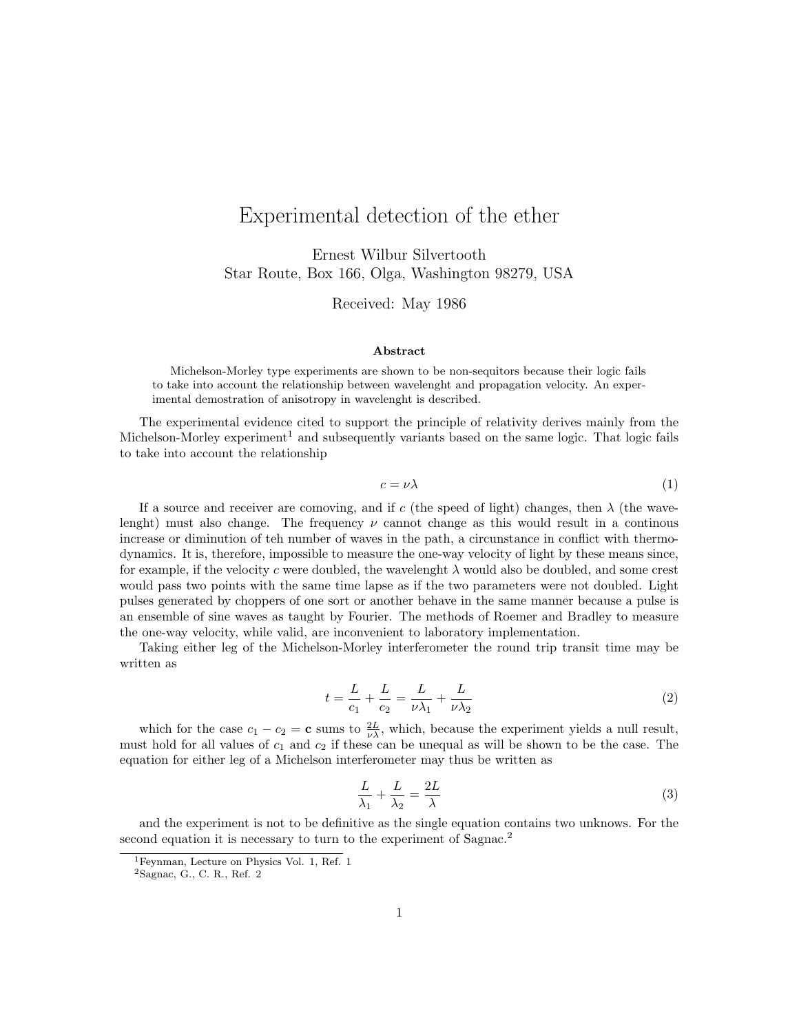## Experimental detection of the ether

Ernest Wilbur Silvertooth Star Route, Box 166, Olga, Washington 98279, USA

Received: May 1986

## Abstract

Michelson-Morley type experiments are shown to be non-sequitors because their logic fails to take into account the relationship between wavelenght and propagation velocity. An experimental demostration of anisotropy in wavelenght is described.

The experimental evidence cited to support the principle of relativity derives mainly from the Michelson-Morley experiment<sup>1</sup> and subsequently variants based on the same logic. That logic fails to take into account the relationship

$$
c = \nu\lambda\tag{1}
$$

If a source and receiver are comoving, and if c (the speed of light) changes, then  $\lambda$  (the wavelenght) must also change. The frequency  $\nu$  cannot change as this would result in a continous increase or diminution of teh number of waves in the path, a circunstance in conflict with thermodynamics. It is, therefore, impossible to measure the one-way velocity of light by these means since, for example, if the velocity c were doubled, the wavelenght  $\lambda$  would also be doubled, and some crest would pass two points with the same time lapse as if the two parameters were not doubled. Light pulses generated by choppers of one sort or another behave in the same manner because a pulse is an ensemble of sine waves as taught by Fourier. The methods of Roemer and Bradley to measure the one-way velocity, while valid, are inconvenient to laboratory implementation.

Taking either leg of the Michelson-Morley interferometer the round trip transit time may be written as

$$
t = \frac{L}{c_1} + \frac{L}{c_2} = \frac{L}{\nu \lambda_1} + \frac{L}{\nu \lambda_2}
$$
 (2)

which for the case  $c_1 - c_2 = \mathbf{c}$  sums to  $\frac{2L}{\nu \lambda}$ , which, because the experiment yields a null result, must hold for all values of  $c_1$  and  $c_2$  if these can be unequal as will be shown to be the case. The equation for either leg of a Michelson interferometer may thus be written as

$$
\frac{L}{\lambda_1} + \frac{L}{\lambda_2} = \frac{2L}{\lambda}
$$
\n(3)

and the experiment is not to be definitive as the single equation contains two unknows. For the second equation it is necessary to turn to the experiment of Sagnac.<sup>2</sup>

<sup>&</sup>lt;sup>1</sup>Feynman, Lecture on Physics Vol. 1, Ref. 1

<sup>2</sup>Sagnac, G., C. R., Ref. 2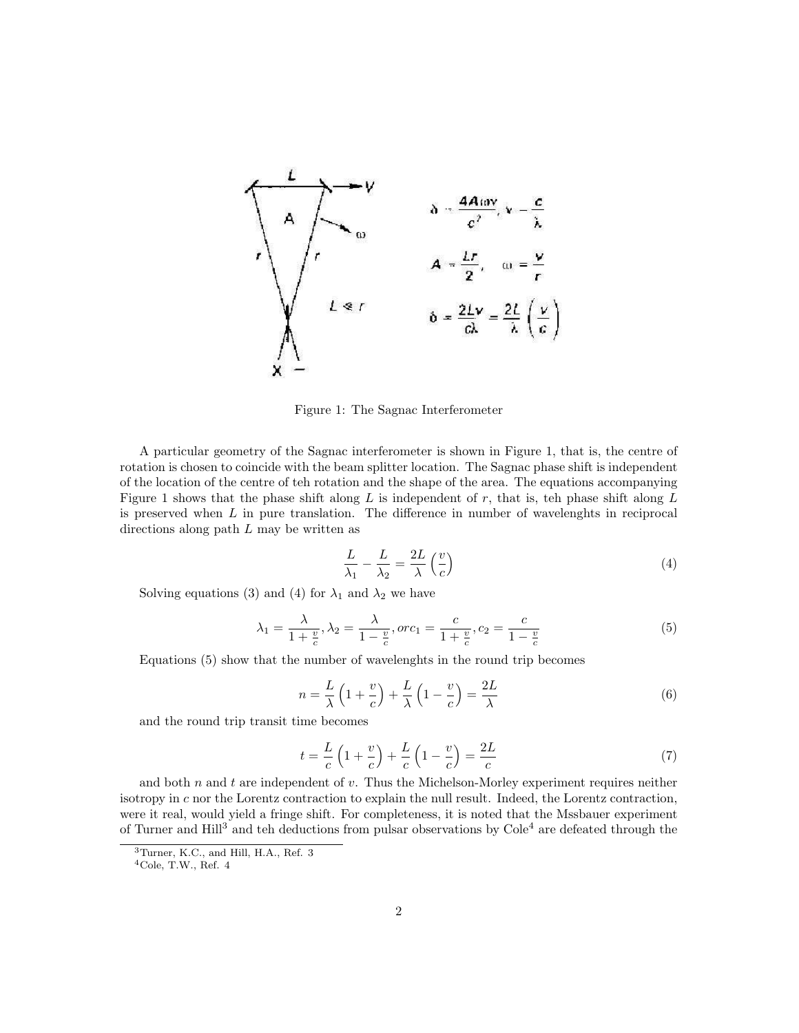

Figure 1: The Sagnac Interferometer

A particular geometry of the Sagnac interferometer is shown in Figure 1, that is, the centre of rotation is chosen to coincide with the beam splitter location. The Sagnac phase shift is independent of the location of the centre of teh rotation and the shape of the area. The equations accompanying Figure 1 shows that the phase shift along  $L$  is independent of  $r$ , that is, teh phase shift along  $L$ is preserved when  $L$  in pure translation. The difference in number of wavelenghts in reciprocal directions along path  $L$  may be written as

$$
\frac{L}{\lambda_1} - \frac{L}{\lambda_2} = \frac{2L}{\lambda} \left(\frac{v}{c}\right) \tag{4}
$$

Solving equations (3) and (4) for  $\lambda_1$  and  $\lambda_2$  we have

$$
\lambda_1 = \frac{\lambda}{1 + \frac{v}{c}}, \lambda_2 = \frac{\lambda}{1 - \frac{v}{c}}, or c_1 = \frac{c}{1 + \frac{v}{c}}, c_2 = \frac{c}{1 - \frac{v}{c}}
$$
(5)

Equations (5) show that the number of wavelenghts in the round trip becomes

$$
n = \frac{L}{\lambda} \left( 1 + \frac{v}{c} \right) + \frac{L}{\lambda} \left( 1 - \frac{v}{c} \right) = \frac{2L}{\lambda}
$$
\n<sup>(6)</sup>

and the round trip transit time becomes

$$
t = \frac{L}{c} \left( 1 + \frac{v}{c} \right) + \frac{L}{c} \left( 1 - \frac{v}{c} \right) = \frac{2L}{c} \tag{7}
$$

and both  $n$  and  $t$  are independent of  $v$ . Thus the Michelson-Morley experiment requires neither isotropy in c nor the Lorentz contraction to explain the null result. Indeed, the Lorentz contraction, were it real, would yield a fringe shift. For completeness, it is noted that the Mssbauer experiment of Turner and Hill<sup>3</sup> and teh deductions from pulsar observations by  $\text{Cole}^4$  are defeated through the

<sup>3</sup>Turner, K.C., and Hill, H.A., Ref. 3

 $4Cole$ , T.W., Ref.  $4$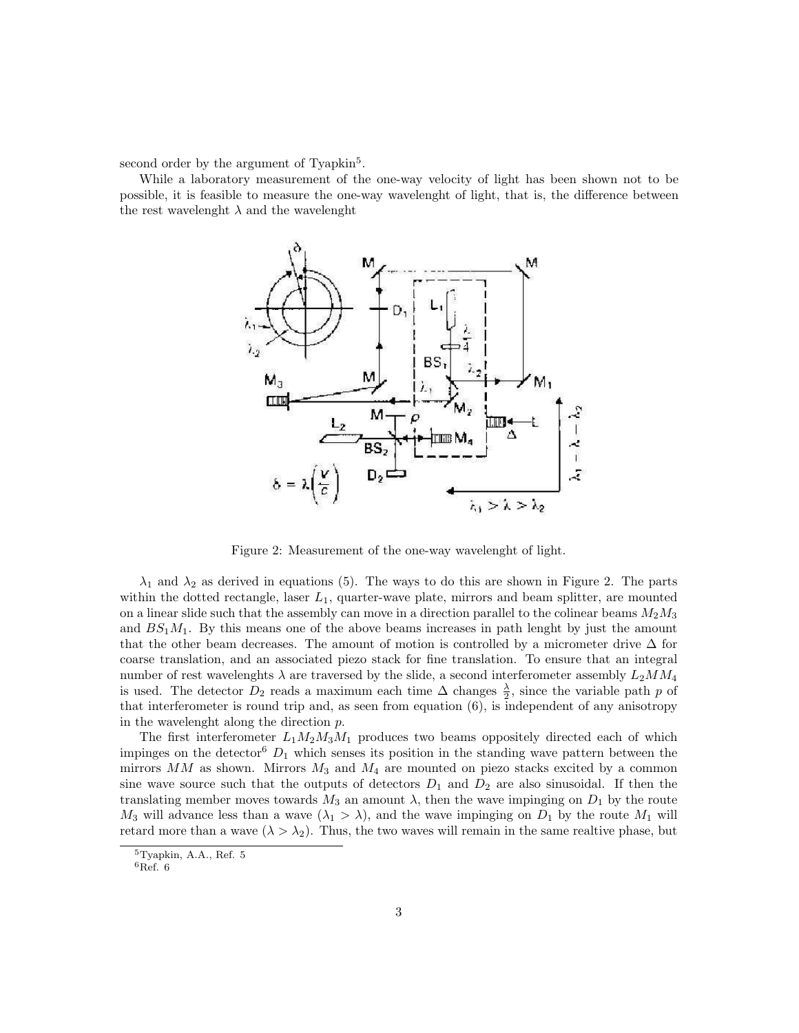second order by the argument of Tyapkin<sup>5</sup>.

While a laboratory measurement of the one-way velocity of light has been shown not to be possible, it is feasible to measure the one-way wavelenght of light, that is, the difference between the rest wavelenght  $\lambda$  and the wavelenght



Figure 2: Measurement of the one-way wavelenght of light.

 $\lambda_1$  and  $\lambda_2$  as derived in equations (5). The ways to do this are shown in Figure 2. The parts within the dotted rectangle, laser  $L_1$ , quarter-wave plate, mirrors and beam splitter, are mounted on a linear slide such that the assembly can move in a direction parallel to the colinear beams  $M_2M_3$ and  $BS<sub>1</sub>M<sub>1</sub>$ . By this means one of the above beams increases in path lenght by just the amount that the other beam decreases. The amount of motion is controlled by a micrometer drive  $\Delta$  for coarse translation, and an associated piezo stack for fine translation. To ensure that an integral number of rest wavelenghts  $\lambda$  are traversed by the slide, a second interferometer assembly  $L_2MM_4$ is used. The detector  $D_2$  reads a maximum each time  $\Delta$  changes  $\frac{\lambda}{2}$ , since the variable path p of that interferometer is round trip and, as seen from equation (6), is independent of any anisotropy in the wavelenght along the direction p.

The first interferometer  $L_1M_2M_3M_1$  produces two beams oppositely directed each of which impinges on the detector<sup>6</sup>  $D_1$  which senses its position in the standing wave pattern between the mirrors  $MM$  as shown. Mirrors  $M_3$  and  $M_4$  are mounted on piezo stacks excited by a common sine wave source such that the outputs of detectors  $D_1$  and  $D_2$  are also sinusoidal. If then the translating member moves towards  $M_3$  an amount  $\lambda$ , then the wave impinging on  $D_1$  by the route  $M_3$  will advance less than a wave  $(\lambda_1 > \lambda)$ , and the wave impinging on  $D_1$  by the route  $M_1$  will retard more than a wave  $(\lambda > \lambda_2)$ . Thus, the two waves will remain in the same realtive phase, but

<sup>5</sup>Tyapkin, A.A., Ref. 5

 ${}^6$ Ref. 6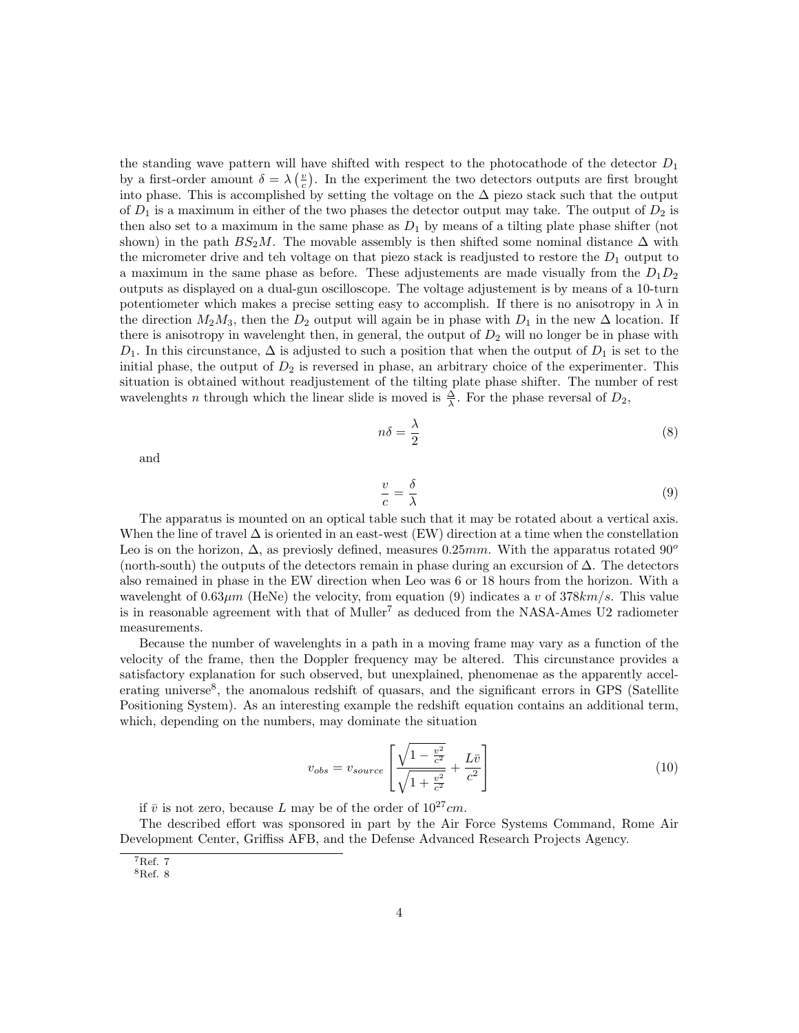the standing wave pattern will have shifted with respect to the photocathode of the detector  $D_1$ by a first-order amount  $\delta = \lambda \left(\frac{v}{c}\right)$ . In the experiment the two detectors outputs are first brought into phase. This is accomplished by setting the voltage on the  $\Delta$  piezo stack such that the output of  $D_1$  is a maximum in either of the two phases the detector output may take. The output of  $D_2$  is then also set to a maximum in the same phase as  $D_1$  by means of a tilting plate phase shifter (not shown) in the path  $BS_2M$ . The movable assembly is then shifted some nominal distance  $\Delta$  with the micrometer drive and teh voltage on that piezo stack is readjusted to restore the  $D_1$  output to a maximum in the same phase as before. These adjustements are made visually from the  $D_1D_2$ outputs as displayed on a dual-gun oscilloscope. The voltage adjustement is by means of a 10-turn potentiometer which makes a precise setting easy to accomplish. If there is no anisotropy in  $\lambda$  in the direction  $M_2M_3$ , then the  $D_2$  output will again be in phase with  $D_1$  in the new  $\Delta$  location. If there is anisotropy in wavelenght then, in general, the output of  $D_2$  will no longer be in phase with  $D_1$ . In this circunstance,  $\Delta$  is adjusted to such a position that when the output of  $D_1$  is set to the initial phase, the output of  $D_2$  is reversed in phase, an arbitrary choice of the experimenter. This situation is obtained without readjustement of the tilting plate phase shifter. The number of rest wavelenghts *n* through which the linear slide is moved is  $\frac{\Delta}{\lambda}$ . For the phase reversal of  $D_2$ ,

$$
n\delta = \frac{\lambda}{2} \tag{8}
$$

and

$$
\frac{v}{c} = \frac{\delta}{\lambda} \tag{9}
$$

The apparatus is mounted on an optical table such that it may be rotated about a vertical axis. When the line of travel  $\Delta$  is oriented in an east-west (EW) direction at a time when the constellation Leo is on the horizon,  $\Delta$ , as previosly defined, measures 0.25mm. With the apparatus rotated 90<sup>o</sup> (north-south) the outputs of the detectors remain in phase during an excursion of ∆. The detectors also remained in phase in the EW direction when Leo was 6 or 18 hours from the horizon. With a wavelenght of  $0.63\mu m$  (HeNe) the velocity, from equation (9) indicates a v of  $378\text{km/s}$ . This value is in reasonable agreement with that of Muller<sup>7</sup> as deduced from the NASA-Ames U2 radiometer measurements.

Because the number of wavelenghts in a path in a moving frame may vary as a function of the velocity of the frame, then the Doppler frequency may be altered. This circunstance provides a satisfactory explanation for such observed, but unexplained, phenomenae as the apparently accelerating universe<sup>8</sup>, the anomalous redshift of quasars, and the significant errors in GPS (Satellite Positioning System). As an interesting example the redshift equation contains an additional term, which, depending on the numbers, may dominate the situation

$$
v_{obs} = v_{source} \left[ \frac{\sqrt{1 - \frac{v^2}{c^2}}}{\sqrt{1 + \frac{v^2}{c^2}}} + \frac{L\bar{v}}{c^2} \right]
$$
 (10)

if  $\bar{v}$  is not zero, because L may be of the order of  $10^{27}cm$ .

The described effort was sponsored in part by the Air Force Systems Command, Rome Air Development Center, Griffiss AFB, and the Defense Advanced Research Projects Agency.

<sup>7</sup>Ref. 7

<sup>8</sup>Ref. 8